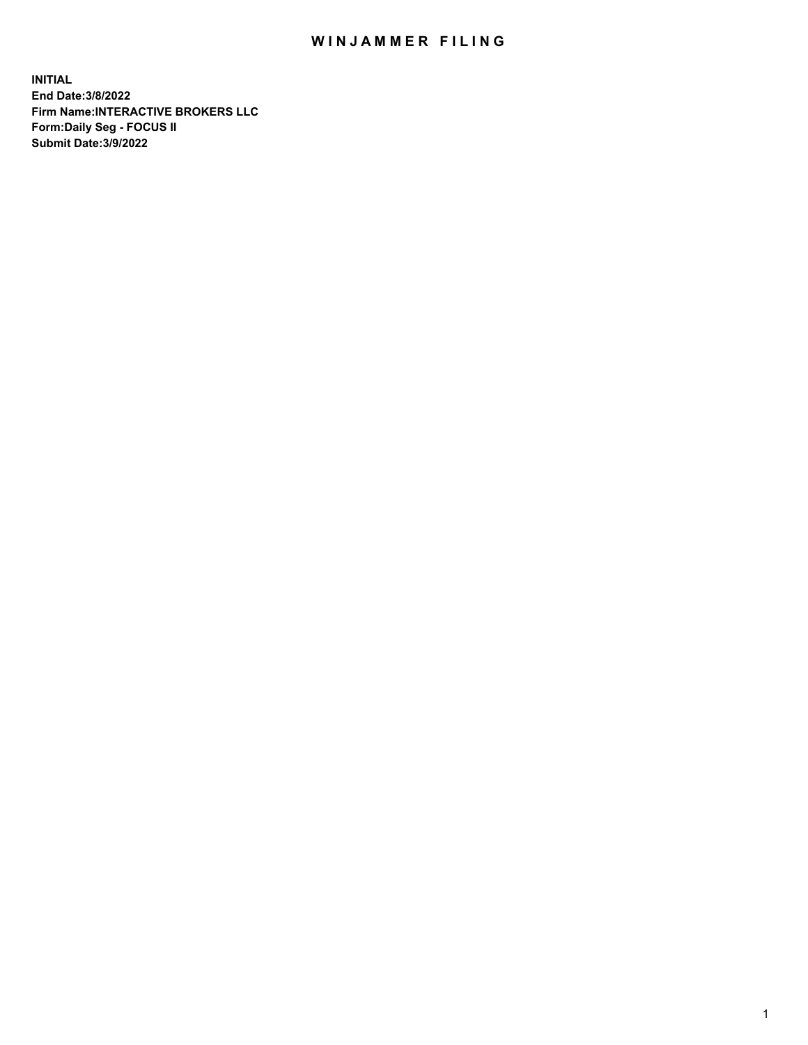## WIN JAMMER FILING

**INITIAL End Date:3/8/2022 Firm Name:INTERACTIVE BROKERS LLC Form:Daily Seg - FOCUS II Submit Date:3/9/2022**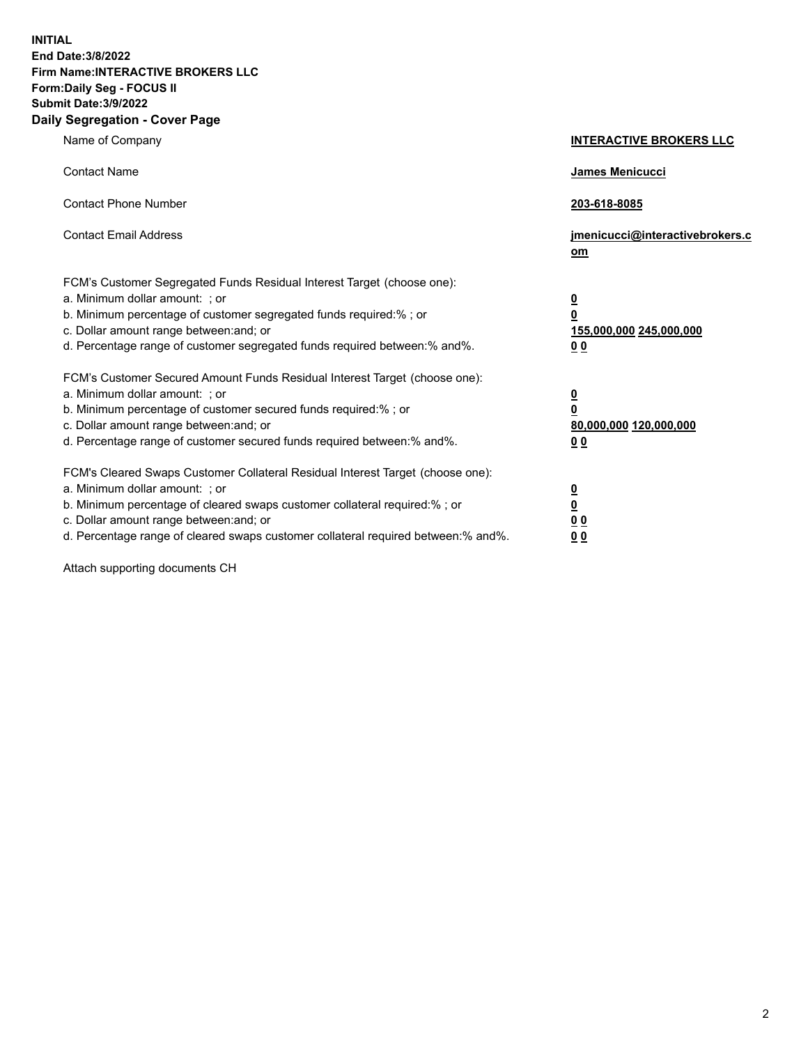**INITIAL End Date:3/8/2022 Firm Name:INTERACTIVE BROKERS LLC Form:Daily Seg - FOCUS II Submit Date:3/9/2022 Daily Segregation - Cover Page**

| Name of Company                                                                                                                                                                                                                                                                                                                | <b>INTERACTIVE BROKERS LLC</b>                                                                 |
|--------------------------------------------------------------------------------------------------------------------------------------------------------------------------------------------------------------------------------------------------------------------------------------------------------------------------------|------------------------------------------------------------------------------------------------|
| <b>Contact Name</b>                                                                                                                                                                                                                                                                                                            | James Menicucci                                                                                |
| <b>Contact Phone Number</b>                                                                                                                                                                                                                                                                                                    | 203-618-8085                                                                                   |
| <b>Contact Email Address</b>                                                                                                                                                                                                                                                                                                   | jmenicucci@interactivebrokers.c<br>om                                                          |
| FCM's Customer Segregated Funds Residual Interest Target (choose one):<br>a. Minimum dollar amount: ; or<br>b. Minimum percentage of customer segregated funds required:% ; or<br>c. Dollar amount range between: and; or<br>d. Percentage range of customer segregated funds required between: % and %.                       | $\overline{\mathbf{0}}$<br>$\overline{\mathbf{0}}$<br>155,000,000 245,000,000<br><u>00</u>     |
| FCM's Customer Secured Amount Funds Residual Interest Target (choose one):<br>a. Minimum dollar amount: ; or<br>b. Minimum percentage of customer secured funds required:% ; or<br>c. Dollar amount range between: and; or<br>d. Percentage range of customer secured funds required between:% and%.                           | $\overline{\mathbf{0}}$<br>$\overline{\mathbf{0}}$<br>80,000,000 120,000,000<br>0 <sub>0</sub> |
| FCM's Cleared Swaps Customer Collateral Residual Interest Target (choose one):<br>a. Minimum dollar amount: ; or<br>b. Minimum percentage of cleared swaps customer collateral required:% ; or<br>c. Dollar amount range between: and; or<br>d. Percentage range of cleared swaps customer collateral required between:% and%. | $\frac{0}{0}$<br>0 <sub>0</sub><br>0 <sub>0</sub>                                              |

Attach supporting documents CH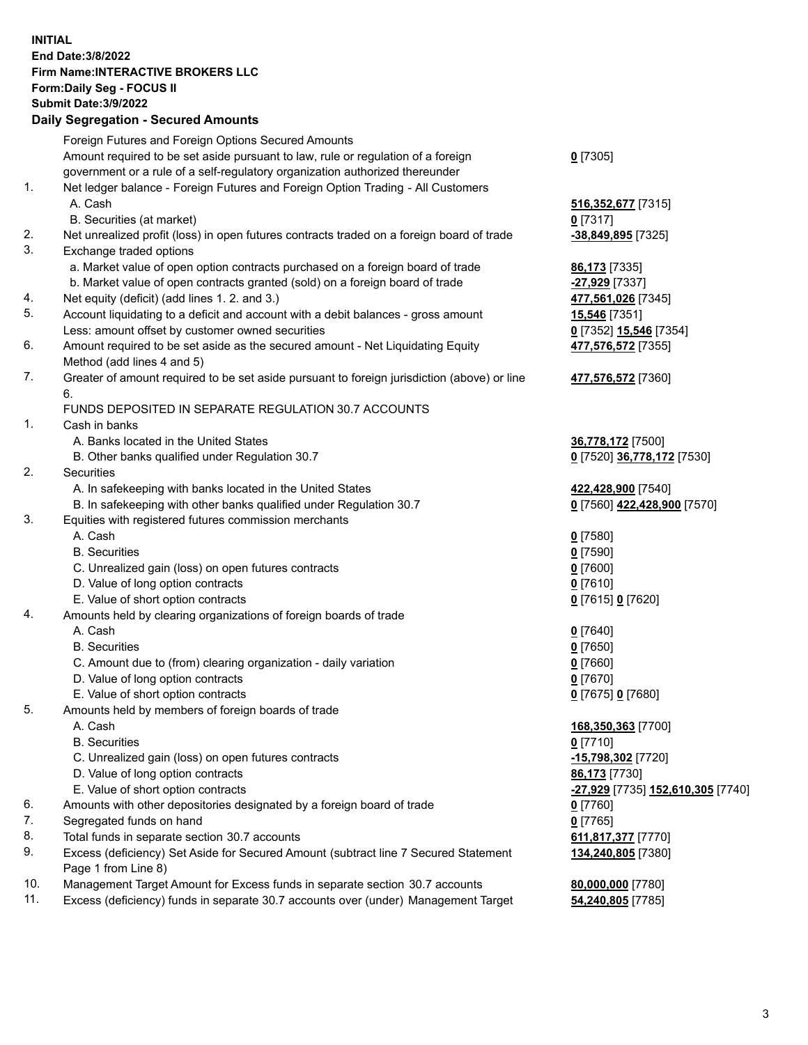**INITIAL End Date:3/8/2022 Firm Name:INTERACTIVE BROKERS LLC Form:Daily Seg - FOCUS II Submit Date:3/9/2022 Daily Segregation - Secured Amounts**

|     | Foreign Futures and Foreign Options Secured Amounts                                         |                                   |
|-----|---------------------------------------------------------------------------------------------|-----------------------------------|
|     | Amount required to be set aside pursuant to law, rule or regulation of a foreign            | $0$ [7305]                        |
|     | government or a rule of a self-regulatory organization authorized thereunder                |                                   |
| 1.  | Net ledger balance - Foreign Futures and Foreign Option Trading - All Customers             |                                   |
|     | A. Cash                                                                                     | 516, 352, 677 [7315]              |
|     | B. Securities (at market)                                                                   | $0$ [7317]                        |
| 2.  | Net unrealized profit (loss) in open futures contracts traded on a foreign board of trade   | -38,849,895 [7325]                |
| 3.  | Exchange traded options                                                                     |                                   |
|     | a. Market value of open option contracts purchased on a foreign board of trade              | 86,173 [7335]                     |
|     | b. Market value of open contracts granted (sold) on a foreign board of trade                | -27,929 [7337]                    |
| 4.  | Net equity (deficit) (add lines 1.2. and 3.)                                                | 477,561,026 [7345]                |
| 5.  | Account liquidating to a deficit and account with a debit balances - gross amount           | 15,546 [7351]                     |
|     | Less: amount offset by customer owned securities                                            | 0 [7352] 15,546 [7354]            |
| 6.  | Amount required to be set aside as the secured amount - Net Liquidating Equity              | 477,576,572 [7355]                |
|     | Method (add lines 4 and 5)                                                                  |                                   |
| 7.  | Greater of amount required to be set aside pursuant to foreign jurisdiction (above) or line | 477,576,572 [7360]                |
|     | 6.                                                                                          |                                   |
|     | FUNDS DEPOSITED IN SEPARATE REGULATION 30.7 ACCOUNTS                                        |                                   |
| 1.  | Cash in banks                                                                               |                                   |
|     | A. Banks located in the United States                                                       | 36,778,172 [7500]                 |
|     | B. Other banks qualified under Regulation 30.7                                              | 0 [7520] 36,778,172 [7530]        |
| 2.  | Securities                                                                                  |                                   |
|     | A. In safekeeping with banks located in the United States                                   | 422,428,900 [7540]                |
|     | B. In safekeeping with other banks qualified under Regulation 30.7                          | 0 [7560] 422,428,900 [7570]       |
| 3.  | Equities with registered futures commission merchants                                       |                                   |
|     | A. Cash                                                                                     | $0$ [7580]                        |
|     | <b>B.</b> Securities                                                                        | $0$ [7590]                        |
|     | C. Unrealized gain (loss) on open futures contracts                                         | $0$ [7600]                        |
|     | D. Value of long option contracts                                                           | $0$ [7610]                        |
|     | E. Value of short option contracts                                                          | 0 [7615] 0 [7620]                 |
| 4.  | Amounts held by clearing organizations of foreign boards of trade                           |                                   |
|     | A. Cash                                                                                     | $0$ [7640]                        |
|     | <b>B.</b> Securities                                                                        | $0$ [7650]                        |
|     | C. Amount due to (from) clearing organization - daily variation                             | $0$ [7660]                        |
|     | D. Value of long option contracts                                                           | $0$ [7670]                        |
|     | E. Value of short option contracts                                                          | 0 [7675] 0 [7680]                 |
| 5.  | Amounts held by members of foreign boards of trade                                          |                                   |
|     | A. Cash                                                                                     | 168,350,363 [7700]                |
|     | <b>B.</b> Securities                                                                        | $0$ [7710]                        |
|     | C. Unrealized gain (loss) on open futures contracts                                         | -15,798,302 [7720]                |
|     | D. Value of long option contracts                                                           | 86,173 [7730]                     |
|     | E. Value of short option contracts                                                          | -27,929 [7735] 152,610,305 [7740] |
| 6.  | Amounts with other depositories designated by a foreign board of trade                      | $0$ [7760]                        |
| 7.  | Segregated funds on hand                                                                    | $0$ [7765]                        |
| 8.  | Total funds in separate section 30.7 accounts                                               | 611,817,377 [7770]                |
| 9.  | Excess (deficiency) Set Aside for Secured Amount (subtract line 7 Secured Statement         | 134,240,805 [7380]                |
|     | Page 1 from Line 8)                                                                         |                                   |
| 10. | Management Target Amount for Excess funds in separate section 30.7 accounts                 | 80,000,000 [7780]                 |
| 11. | Excess (deficiency) funds in separate 30.7 accounts over (under) Management Target          | 54,240,805 [7785]                 |
|     |                                                                                             |                                   |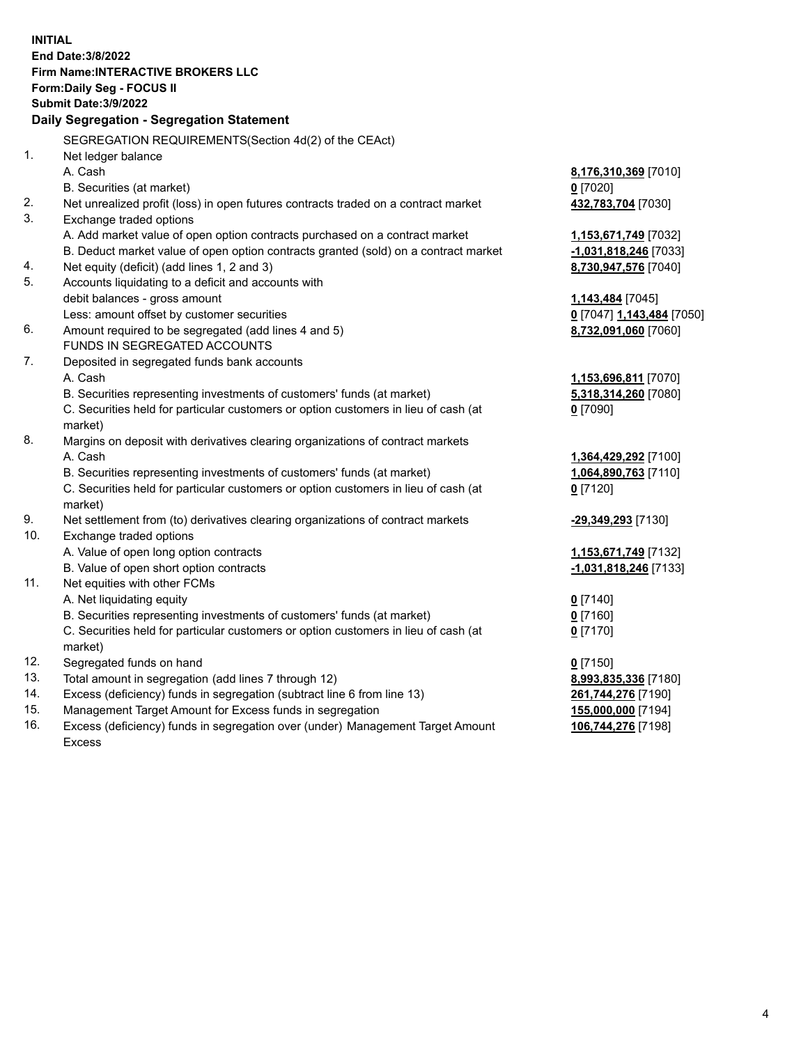**INITIAL End Date:3/8/2022 Firm Name:INTERACTIVE BROKERS LLC Form:Daily Seg - FOCUS II Submit Date:3/9/2022 Daily Segregation - Segregation Statement** SEGREGATION REQUIREMENTS(Section 4d(2) of the CEAct) 1. Net ledger balance A. Cash **8,176,310,369** [7010] B. Securities (at market) **0** [7020] 2. Net unrealized profit (loss) in open futures contracts traded on a contract market **432,783,704** [7030] 3. Exchange traded options A. Add market value of open option contracts purchased on a contract market **1,153,671,749** [7032] B. Deduct market value of open option contracts granted (sold) on a contract market **-1,031,818,246** [7033] 4. Net equity (deficit) (add lines 1, 2 and 3) **8,730,947,576** [7040] 5. Accounts liquidating to a deficit and accounts with debit balances - gross amount **1,143,484** [7045] Less: amount offset by customer securities **0** [7047] **1,143,484** [7050] 6. Amount required to be segregated (add lines 4 and 5) **8,732,091,060** [7060] FUNDS IN SEGREGATED ACCOUNTS 7. Deposited in segregated funds bank accounts A. Cash **1,153,696,811** [7070] B. Securities representing investments of customers' funds (at market) **5,318,314,260** [7080] C. Securities held for particular customers or option customers in lieu of cash (at market) **0** [7090] 8. Margins on deposit with derivatives clearing organizations of contract markets A. Cash **1,364,429,292** [7100] B. Securities representing investments of customers' funds (at market) **1,064,890,763** [7110] C. Securities held for particular customers or option customers in lieu of cash (at market) **0** [7120] 9. Net settlement from (to) derivatives clearing organizations of contract markets **-29,349,293** [7130] 10. Exchange traded options A. Value of open long option contracts **1,153,671,749** [7132] B. Value of open short option contracts **-1,031,818,246** [7133] 11. Net equities with other FCMs A. Net liquidating equity **0** [7140] B. Securities representing investments of customers' funds (at market) **0** [7160] C. Securities held for particular customers or option customers in lieu of cash (at market) **0** [7170] 12. Segregated funds on hand **0** [7150] 13. Total amount in segregation (add lines 7 through 12) **8,993,835,336** [7180] 14. Excess (deficiency) funds in segregation (subtract line 6 from line 13) **261,744,276** [7190] 15. Management Target Amount for Excess funds in segregation **155,000,000** [7194] 16. Excess (deficiency) funds in segregation over (under) Management Target Amount Excess **106,744,276** [7198]